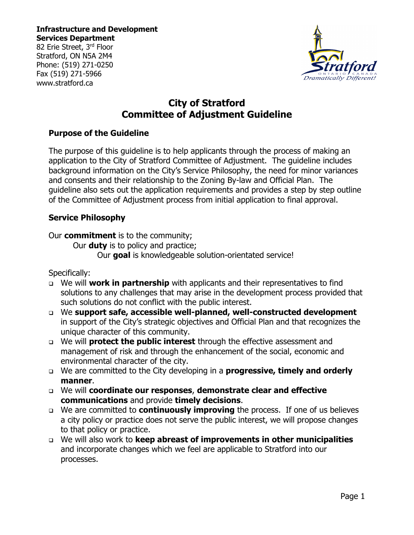82 Erie Street, 3rd Floor Stratford, ON N5A 2M4 Phone: (519) 271-0250 Fax (519) 271-5966 www.stratford.ca



# **City of Stratford Committee of Adjustment Guideline**

#### **Purpose of the Guideline**

The purpose of this guideline is to help applicants through the process of making an application to the City of Stratford Committee of Adjustment. The guideline includes background information on the City's Service Philosophy, the need for minor variances and consents and their relationship to the Zoning By-law and Official Plan. The guideline also sets out the application requirements and provides a step by step outline of the Committee of Adjustment process from initial application to final approval.

### **Service Philosophy**

Our **commitment** is to the community;

Our **duty** is to policy and practice;

Our **goal** is knowledgeable solution-orientated service!

Specifically:

- We will **work in partnership** with applicants and their representatives to find solutions to any challenges that may arise in the development process provided that such solutions do not conflict with the public interest.
- We **support safe, accessible well-planned, well-constructed development** in support of the City's strategic objectives and Official Plan and that recognizes the unique character of this community.
- We will **protect the public interest** through the effective assessment and management of risk and through the enhancement of the social, economic and environmental character of the city.
- We are committed to the City developing in a **progressive, timely and orderly manner**.
- We will **coordinate our responses**, **demonstrate clear and effective communications** and provide **timely decisions**.
- We are committed to **continuously improving** the process. If one of us believes a city policy or practice does not serve the public interest, we will propose changes to that policy or practice.
- We will also work to **keep abreast of improvements in other municipalities** and incorporate changes which we feel are applicable to Stratford into our processes.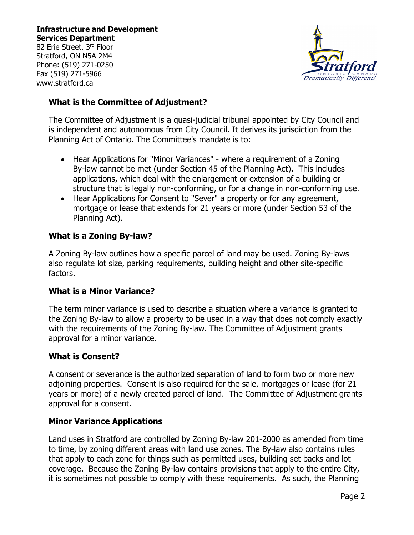82 Erie Street, 3rd Floor Stratford, ON N5A 2M4 Phone: (519) 271-0250 Fax (519) 271-5966 www.stratford.ca



### **What is the Committee of Adjustment?**

The Committee of Adjustment is a quasi-judicial tribunal appointed by City Council and is independent and autonomous from City Council. It derives its jurisdiction from the Planning Act of Ontario. The Committee's mandate is to:

- Hear Applications for "Minor Variances" where a requirement of a Zoning By-law cannot be met (under Section 45 of the Planning Act). This includes applications, which deal with the enlargement or extension of a building or structure that is legally non-conforming, or for a change in non-conforming use.
- Hear Applications for Consent to "Sever" a property or for any agreement, mortgage or lease that extends for 21 years or more (under Section 53 of the Planning Act).

### **What is a Zoning By-law?**

A Zoning By-law outlines how a specific parcel of land may be used. Zoning By-laws also regulate lot size, parking requirements, building height and other site-specific factors.

#### **What is a Minor Variance?**

The term minor variance is used to describe a situation where a variance is granted to the Zoning By-law to allow a property to be used in a way that does not comply exactly with the requirements of the Zoning By-law. The Committee of Adjustment grants approval for a minor variance.

#### **What is Consent?**

A consent or severance is the authorized separation of land to form two or more new adjoining properties. Consent is also required for the sale, mortgages or lease (for 21 years or more) of a newly created parcel of land. The Committee of Adjustment grants approval for a consent.

#### **Minor Variance Applications**

Land uses in Stratford are controlled by Zoning By-law 201-2000 as amended from time to time, by zoning different areas with land use zones. The By-law also contains rules that apply to each zone for things such as permitted uses, building set backs and lot coverage. Because the Zoning By-law contains provisions that apply to the entire City, it is sometimes not possible to comply with these requirements. As such, the Planning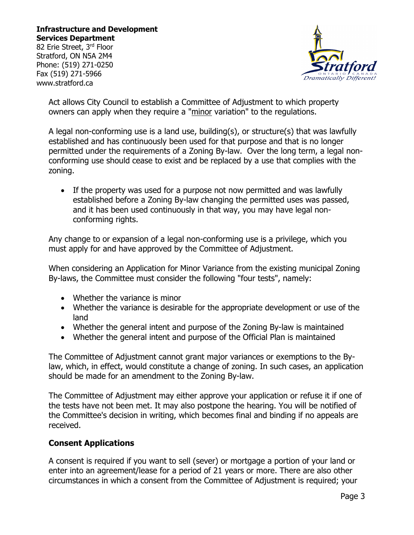82 Erie Street, 3rd Floor Stratford, ON N5A 2M4 Phone: (519) 271-0250 Fax (519) 271-5966 www.stratford.ca



Act allows City Council to establish a Committee of Adjustment to which property owners can apply when they require a "minor variation" to the regulations.

A legal non-conforming use is a land use, building(s), or structure(s) that was lawfully established and has continuously been used for that purpose and that is no longer permitted under the requirements of a Zoning By-law. Over the long term, a legal nonconforming use should cease to exist and be replaced by a use that complies with the zoning.

• If the property was used for a purpose not now permitted and was lawfully established before a Zoning By-law changing the permitted uses was passed, and it has been used continuously in that way, you may have legal nonconforming rights.

Any change to or expansion of a legal non-conforming use is a privilege, which you must apply for and have approved by the Committee of Adjustment.

When considering an Application for Minor Variance from the existing municipal Zoning By-laws, the Committee must consider the following "four tests", namely:

- Whether the variance is minor
- Whether the variance is desirable for the appropriate development or use of the land
- Whether the general intent and purpose of the Zoning By-law is maintained
- Whether the general intent and purpose of the Official Plan is maintained

The Committee of Adjustment cannot grant major variances or exemptions to the Bylaw, which, in effect, would constitute a change of zoning. In such cases, an application should be made for an amendment to the Zoning By-law.

The Committee of Adjustment may either approve your application or refuse it if one of the tests have not been met. It may also postpone the hearing. You will be notified of the Committee's decision in writing, which becomes final and binding if no appeals are received.

#### **Consent Applications**

A consent is required if you want to sell (sever) or mortgage a portion of your land or enter into an agreement/lease for a period of 21 years or more. There are also other circumstances in which a consent from the Committee of Adjustment is required; your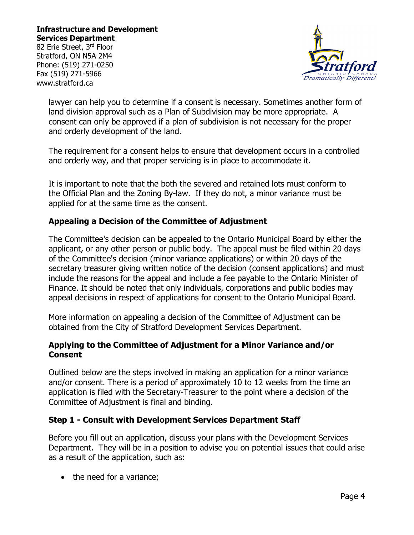82 Erie Street, 3rd Floor Stratford, ON N5A 2M4 Phone: (519) 271-0250 Fax (519) 271-5966 www.stratford.ca



lawyer can help you to determine if a consent is necessary. Sometimes another form of land division approval such as a Plan of Subdivision may be more appropriate. A consent can only be approved if a plan of subdivision is not necessary for the proper and orderly development of the land.

The requirement for a consent helps to ensure that development occurs in a controlled and orderly way, and that proper servicing is in place to accommodate it.

It is important to note that the both the severed and retained lots must conform to the Official Plan and the Zoning By-law. If they do not, a minor variance must be applied for at the same time as the consent.

### **Appealing a Decision of the Committee of Adjustment**

The Committee's decision can be appealed to the Ontario Municipal Board by either the applicant, or any other person or public body. The appeal must be filed within 20 days of the Committee's decision (minor variance applications) or within 20 days of the secretary treasurer giving written notice of the decision (consent applications) and must include the reasons for the appeal and include a fee payable to the Ontario Minister of Finance. It should be noted that only individuals, corporations and public bodies may appeal decisions in respect of applications for consent to the Ontario Municipal Board.

More information on appealing a decision of the Committee of Adjustment can be obtained from the City of Stratford Development Services Department.

#### **Applying to the Committee of Adjustment for a Minor Variance and/or Consent**

Outlined below are the steps involved in making an application for a minor variance and/or consent. There is a period of approximately 10 to 12 weeks from the time an application is filed with the Secretary-Treasurer to the point where a decision of the Committee of Adjustment is final and binding.

#### **Step 1 - Consult with Development Services Department Staff**

Before you fill out an application, discuss your plans with the Development Services Department. They will be in a position to advise you on potential issues that could arise as a result of the application, such as:

• the need for a variance;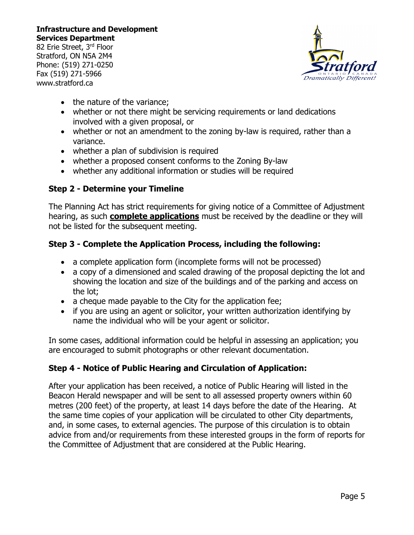82 Erie Street, 3rd Floor Stratford, ON N5A 2M4 Phone: (519) 271-0250 Fax (519) 271-5966 www.stratford.ca



- the nature of the variance;
- whether or not there might be servicing requirements or land dedications involved with a given proposal, or
- whether or not an amendment to the zoning by-law is required, rather than a variance.
- whether a plan of subdivision is required
- whether a proposed consent conforms to the Zoning By-law
- whether any additional information or studies will be required

# **Step 2 - Determine your Timeline**

The Planning Act has strict requirements for giving notice of a Committee of Adjustment hearing, as such **complete applications** must be received by the deadline or they will not be listed for the subsequent meeting.

# **Step 3 - Complete the Application Process, including the following:**

- a complete application form (incomplete forms will not be processed)
- a copy of a dimensioned and scaled drawing of the proposal depicting the lot and showing the location and size of the buildings and of the parking and access on the lot;
- a cheque made payable to the City for the application fee;
- if you are using an agent or solicitor, your written authorization identifying by name the individual who will be your agent or solicitor.

In some cases, additional information could be helpful in assessing an application; you are encouraged to submit photographs or other relevant documentation.

# **Step 4 - Notice of Public Hearing and Circulation of Application:**

After your application has been received, a notice of Public Hearing will listed in the Beacon Herald newspaper and will be sent to all assessed property owners within 60 metres (200 feet) of the property, at least 14 days before the date of the Hearing. At the same time copies of your application will be circulated to other City departments, and, in some cases, to external agencies. The purpose of this circulation is to obtain advice from and/or requirements from these interested groups in the form of reports for the Committee of Adjustment that are considered at the Public Hearing.